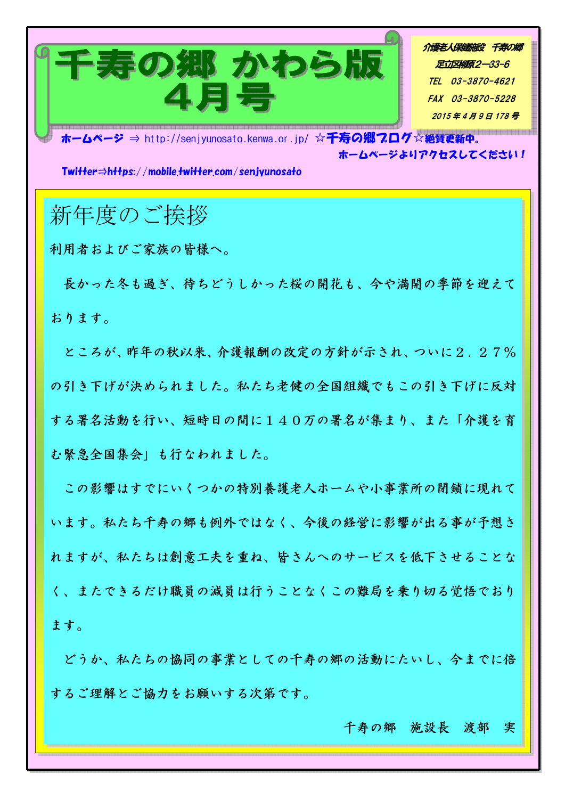

介護老人保健施設 千寿の郷 足立区柳原2-33-6 TEL 03-3870-4621 FAX 03-3870-5228 2015年4月9日178号

ホームページ ⇒ http://senjyunosato.kenwa.or.jp/ ☆千寿の郷7ログ☆絶賛更新中。 ホームページよりアクセスしてください!

 $Twitter \Rightarrow hHbs$ ://mobile.twitter.com/senivunosato

## 新年度のご挨拶

利用者およびご家族の皆様へ。

長かった冬も過ぎ、待ちどうしかった桜の開花も、今や満開の季節を迎えて おります。

ところが、昨年の秋以来、介護報酬の改定の方針が示され、ついに2.27% の引き下げが決められました。私たち老健の全国組織でもこの引き下げに反対 する署名活動を行い、短時日の間に140万の署名が集まり、また「介護を育 む緊急全国集会」も行なわれました。

この影響はすでにいくつかの特別養護老人ホームや小事業所の閉鎖に現れて います。私たち千寿の郷も例外ではなく、今後の経営に影響が出る事が予想さ れますが、私たちは創意工夫を重ね、皆さんへのサービスを低下させることな く、またできるだけ職員の減員は行うことなくこの難局を乗り切る覚悟でおり ます。

どうか、私たちの協同の事業としての千寿の郷の活動にたいし、今までに倍 するご理解とご協力をお願いする次第です。

千寿の郷 施設長 渡部 実